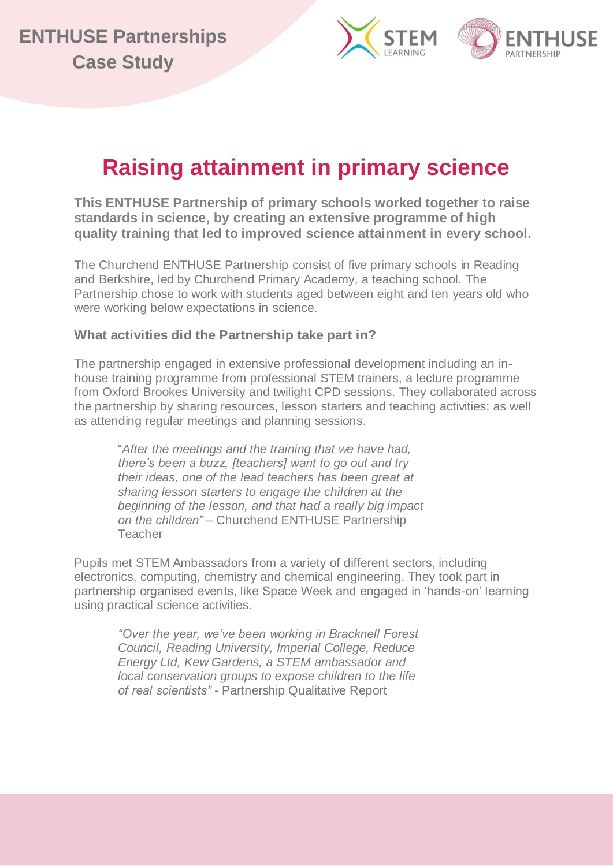



## **Raising attainment in primary science**

**This ENTHUSE Partnership of primary schools worked together to raise standards in science, by creating an extensive programme of high quality training that led to improved science attainment in every school.**

The Churchend ENTHUSE Partnership consist of five primary schools in Reading and Berkshire, led by Churchend Primary Academy, a teaching school. The Partnership chose to work with students aged between eight and ten years old who were working below expectations in science.

## **What activities did the Partnership take part in?**

The partnership engaged in extensive professional development including an inhouse training programme from professional STEM trainers, a lecture programme from Oxford Brookes University and twilight CPD sessions. They collaborated across the partnership by sharing resources, lesson starters and teaching activities; as well as attending regular meetings and planning sessions.

"*After the meetings and the training that we have had, there's been a buzz, [teachers] want to go out and try their ideas, one of the lead teachers has been great at sharing lesson starters to engage the children at the beginning of the lesson, and that had a really big impact on the children" –* Churchend ENTHUSE Partnership **Teacher** 

Pupils met STEM Ambassadors from a variety of different sectors, including electronics, computing, chemistry and chemical engineering. They took part in partnership organised events, like Space Week and engaged in 'hands-on' learning using practical science activities.

*"Over the year, we've been working in Bracknell Forest Council, Reading University, Imperial College, Reduce Energy Ltd, Kew Gardens, a STEM ambassador and local conservation groups to expose children to the life of real scientists" -* Partnership Qualitative Report